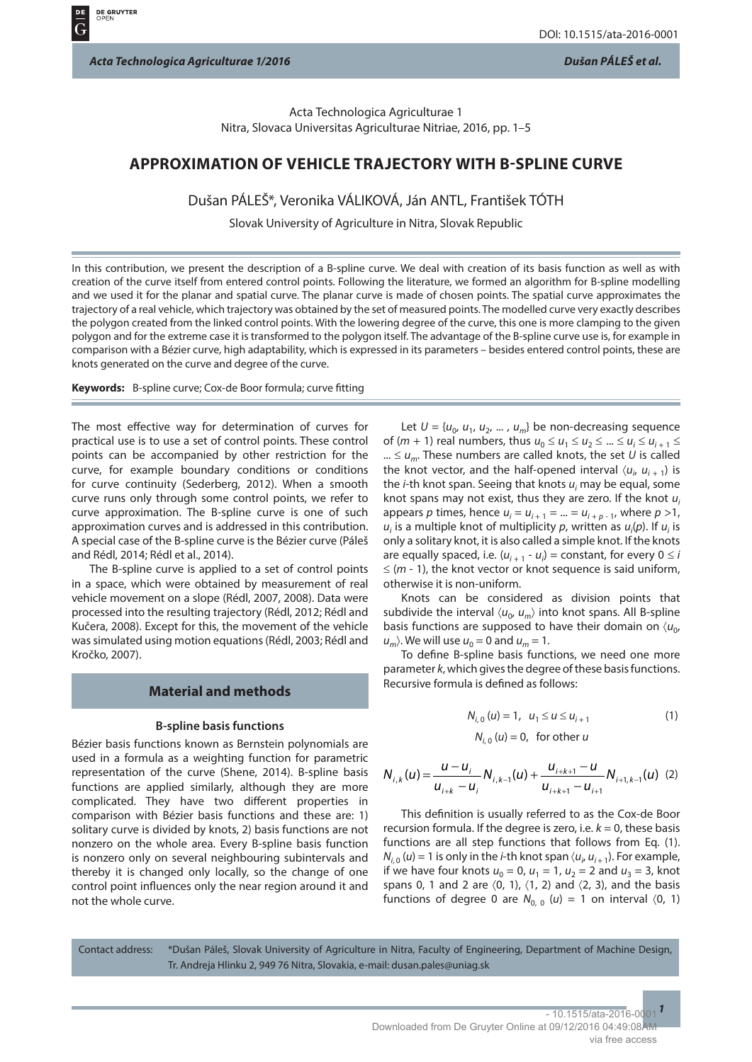DOI: 10.1515/ata-2016-0001

Acta Technologica Agriculturae 1 Nitra, Slovaca Universitas Agriculturae Nitriae, 2016, pp. 1–5

# **ApproximAtion of Vehicle trAjectory with B-Spline curVe**

Dušan PÁLEŠ\*, Veronika VÁLIKOVÁ, Ján ANTL, František TÓTH

Slovak University of Agriculture in Nitra, Slovak Republic

In this contribution, we present the description of a B-spline curve. We deal with creation of its basis function as well as with creation of the curve itself from entered control points. Following the literature, we formed an algorithm for B-spline modelling and we used it for the planar and spatial curve. The planar curve is made of chosen points. The spatial curve approximates the trajectory of a real vehicle, which trajectory was obtained by the set of measured points. The modelled curve very exactly describes the polygon created from the linked control points. With the lowering degree of the curve, this one is more clamping to the given polygon and for the extreme case it is transformed to the polygon itself. The advantage of the B-spline curve use is, for example in comparison with a Bézier curve, high adaptability, which is expressed in its parameters – besides entered control points, these are knots generated on the curve and degree of the curve.

**Keywords:** B-spline curve; Cox-de Boor formula; curve fitting

The most effective way for determination of curves for practical use is to use a set of control points. These control points can be accompanied by other restriction for the curve, for example boundary conditions or conditions for curve continuity (Sederberg, 2012). When a smooth curve runs only through some control points, we refer to curve approximation. The B-spline curve is one of such approximation curves and is addressed in this contribution. A special case of the B-spline curve is the Bézier curve (Páleš and Rédl, 2014; Rédl et al., 2014).

The B-spline curve is applied to a set of control points in a space, which were obtained by measurement of real vehicle movement on a slope (Rédl, 2007, 2008). Data were processed into the resulting trajectory (Rédl, 2012; Rédl and Kučera, 2008). Except for this, the movement of the vehicle was simulated using motion equations (Rédl, 2003; Rédl and Kročko, 2007).

## **material and methods**

#### **B-spline basis functions**

Bézier basis functions known as Bernstein polynomials are used in a formula as a weighting function for parametric representation of the curve (Shene, 2014). B-spline basis functions are applied similarly, although they are more complicated. They have two different properties in comparison with Bézier basis functions and these are: 1) solitary curve is divided by knots, 2) basis functions are not nonzero on the whole area. Every B-spline basis function is nonzero only on several neighbouring subintervals and thereby it is changed only locally, so the change of one control point influences only the near region around it and not the whole curve.

Let  $U = \{u_0, u_1, u_2, ..., u_m\}$  be non-decreasing sequence of  $(m + 1)$  real numbers, thus  $u_0 \le u_1 \le u_2 \le ... \le u_i \le u_{i+1} \le$ ...  $\leq u_m$ . These numbers are called knots, the set U is called the knot vector, and the half-opened interval  $\langle u_i, u_{i+1} \rangle$  is the *i*-th knot span. Seeing that knots  $u_i$  may be equal, some knot spans may not exist, thus they are zero. If the knot  $u_i$ appears p times, hence  $u_i = u_{i+1} = ... = u_{i+p-1}$ , where  $p > 1$ ,  $u_i$  is a multiple knot of multiplicity p, written as  $u_i(p)$ . If  $u_i$  is only a solitary knot, it is also called a simple knot. If the knots are equally spaced, i.e.  $(u_{i+1} - u_i) = \text{constant}$ , for every  $0 \leq i$  $\le$  (*m* - 1), the knot vector or knot sequence is said uniform, otherwise it is non-uniform.

Knots can be considered as division points that subdivide the interval  $\langle u_0, u_m \rangle$  into knot spans. All B-spline basis functions are supposed to have their domain on  $\langle u_{0},$  $u_m$ ). We will use  $u_0 = 0$  and  $u_m = 1$ .

To define B-spline basis functions, we need one more parameter k, which gives the degree of these basis functions. Recursive formula is defined as follows:

$$
N_{i,0}(u) = 1, u_1 \le u \le u_{i+1}
$$
 (1)

 $N_{i, 0} (u) = 0$ , for other u

$$
N_{i,k}(u) = \frac{u - u_i}{u_{i+k} - u_i} N_{i,k-1}(u) + \frac{u_{i+k+1} - u}{u_{i+k+1} - u_{i+1}} N_{i+1,k-1}(u)
$$
 (2)

This definition is usually referred to as the Cox-de Boor recursion formula. If the degree is zero, i.e.  $k = 0$ , these basis functions are all step functions that follows from Eq. (1).  $N_{i,0}(u) = 1$  is only in the *i*-th knot span  $\langle u_i, u_{i+1} \rangle$ . For example, if we have four knots  $u_0 = 0$ ,  $u_1 = 1$ ,  $u_2 = 2$  and  $u_3 = 3$ , knot spans 0, 1 and 2 are  $(0, 1)$ ,  $(1, 2)$  and  $(2, 3)$ , and the basis functions of degree 0 are  $N_{0, 0}$  (u) = 1 on interval  $(0, 1)$ 

Contact address: \*Dušan Páleš, Slovak University of Agriculture in Nitra, Faculty of Engineering, Department of Machine Design, Tr. Andreja Hlinku 2, 949 76 Nitra, Slovakia, e-mail: dusan.pales@uniag.sk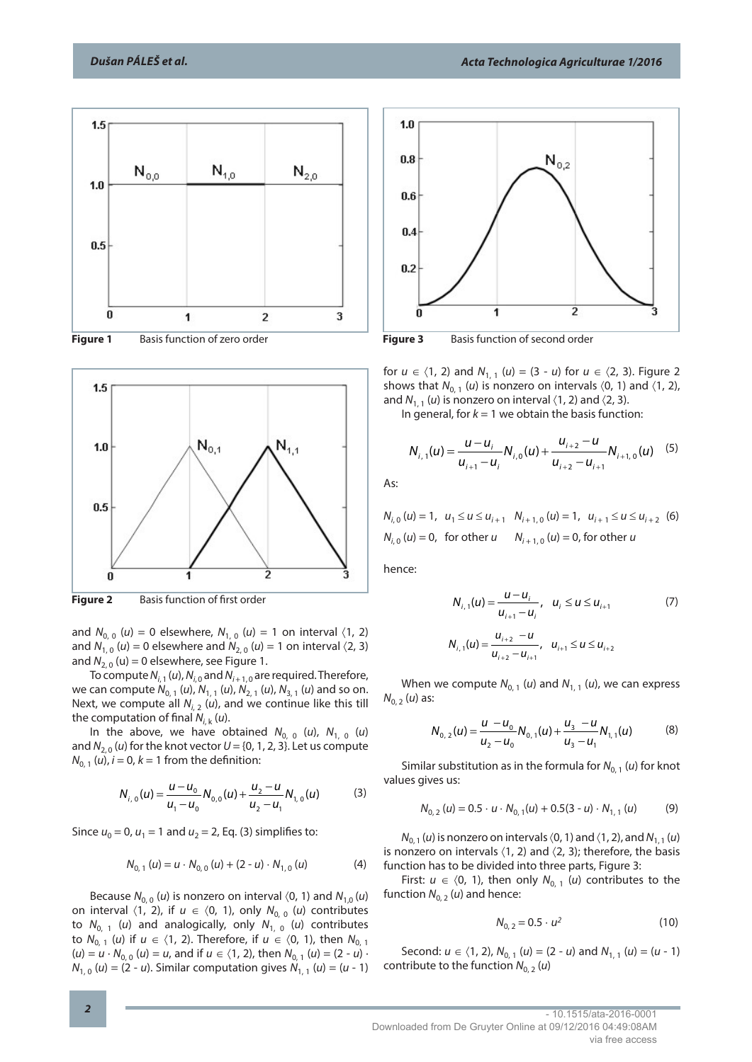





**Figure 2** Basis function of first order

and  $N_{0, 0}$  (u) = 0 elsewhere,  $N_{1, 0}$  (u) = 1 on interval  $\langle 1, 2 \rangle$ and  $N_{1,0}(u) = 0$  elsewhere and  $N_{2,0}(u) = 1$  on interval  $\langle 2, 3 \rangle$ and  $N_{2,0}$  (u) = 0 elsewhere, see Figure 1.

To compute  $N_{i, 1}(u)$ ,  $N_{i, 0}$  and  $N_{i+1, 0}$  are required. Therefore, we can compute  $N_{0, 1} (u)$ ,  $N_{1, 1} (u)$ ,  $N_{2, 1} (u)$ ,  $N_{3, 1} (u)$  and so on. Next, we compute all  $N_{i, 2}$  (*u*), and we continue like this till the computation of final  $N_{i,k}(u)$ .

In the above, we have obtained  $N_{0, 0}$  (u),  $N_{1, 0}$  (u) and  $N_{2,0}(u)$  for the knot vector  $U = \{0, 1, 2, 3\}$ . Let us compute  $N_{0, 1} (u)$ ,  $i = 0$ ,  $k = 1$  from the definition:

$$
N_{i,0}(u) = \frac{u - u_0}{u_1 - u_0} N_{0,0}(u) + \frac{u_2 - u}{u_2 - u_1} N_{1,0}(u)
$$
(3)

Since  $u_0 = 0$ ,  $u_1 = 1$  and  $u_2 = 2$ , Eq. (3) simplifies to:

$$
N_{0, 1} (u) = u \cdot N_{0, 0} (u) + (2 - u) \cdot N_{1, 0} (u) \tag{4}
$$

Because  $N_{0, 0}$  (*u*) is nonzero on interval  $(0, 1)$  and  $N_{1,0}(u)$ on interval  $\langle 1, 2 \rangle$ , if  $u \in \langle 0, 1 \rangle$ , only  $N_{0, 0}$  (u) contributes to  $N_{0, 1}$  (u) and analogically, only  $N_{1, 0}$  (u) contributes to  $N_{0, 1}$  (u) if  $u \in \langle 1, 2 \rangle$ . Therefore, if  $u \in \langle 0, 1 \rangle$ , then  $N_{0, 1}$  $(u) = u \cdot N_{0,0} (u) = u$ , and if  $u \in (1, 2)$ , then  $N_{0,1} (u) = (2 - u) \cdot$  $N_{1, 0} (u) = (2 - u)$ . Similar computation gives  $N_{1, 1} (u) = (u - 1)$ 



**Figure 3** Basis function of second order

for  $u \in (1, 2)$  and  $N_{1, 1} (u) = (3 - u)$  for  $u \in (2, 3)$ . Figure 2 shows that  $N_{0, 1} (u)$  is nonzero on intervals  $(0, 1)$  and  $(1, 2)$ , and  $N_{1, 1} (u)$  is nonzero on interval  $\langle 1, 2 \rangle$  and  $\langle 2, 3 \rangle$ .

In general, for  $k = 1$  we obtain the basis function:

$$
N_{i,1}(u) = \frac{u - u_i}{u_{i+1} - u_i} N_{i,0}(u) + \frac{u_{i+2} - u}{u_{i+2} - u_{i+1}} N_{i+1,0}(u)
$$
 (5)

As:

$$
N_{i,0}(u) = 1, u_1 \le u \le u_{i+1} N_{i+1,0}(u) = 1, u_{i+1} \le u \le u_{i+2}
$$
 (6)  

$$
N_{i,0}(u) = 0, \text{ for other } u N_{i+1,0}(u) = 0, \text{ for other } u
$$

hence:

$$
N_{i,1}(u) = \frac{u - u_i}{u_{i+1} - u_i}, \quad u_i \le u \le u_{i+1}
$$
\n
$$
N_{i,1}(u) = \frac{u_{i+2} - u}{u_{i+2} - u_{i+1}}, \quad u_{i+1} \le u \le u_{i+2}
$$
\n
$$
(7)
$$

When we compute  $N_{0, 1} (u)$  and  $N_{1, 1} (u)$ , we can express  $N_{0, 2} (u)$  as:

$$
N_{0,2}(u) = \frac{u - u_0}{u_2 - u_0} N_{0,1}(u) + \frac{u_3 - u}{u_3 - u_1} N_{1,1}(u)
$$
(8)

Similar substitution as in the formula for  $N_{0, 1} (u)$  for knot values gives us:

$$
N_{0,2}(u) = 0.5 \cdot u \cdot N_{0,1}(u) + 0.5(3 - u) \cdot N_{1,1}(u) \tag{9}
$$

 $N_{0,1}(u)$  is nonzero on intervals  $(0, 1)$  and  $(1, 2)$ , and  $N_{1,1}(u)$ is nonzero on intervals  $(1, 2)$  and  $(2, 3)$ ; therefore, the basis function has to be divided into three parts, Figure 3:

First:  $u \in \langle 0, 1 \rangle$ , then only  $N_{0, 1}$  (u) contributes to the function  $N_{0, 2} (u)$  and hence:

$$
N_{0,2} = 0.5 \cdot u^2 \tag{10}
$$

Second:  $u \in \langle 1, 2 \rangle$ ,  $N_{0, 1}(u) = (2 - u)$  and  $N_{1, 1}(u) = (u - 1)$ contribute to the function  $N_{0, 2}(u)$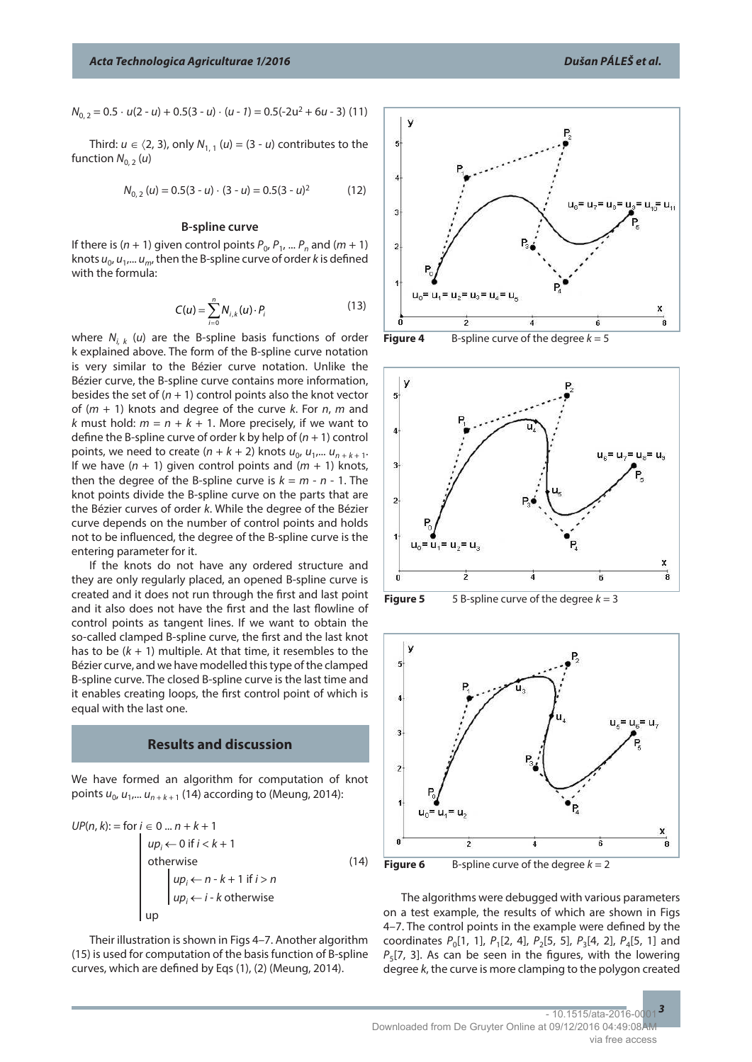$$
N_{0,2} = 0.5 \cdot u(2 - u) + 0.5(3 - u) \cdot (u - 1) = 0.5(-2u^2 + 6u - 3)
$$
 (11)

Third:  $u \in \langle 2, 3 \rangle$ , only  $N_{1, 1}(u) = (3 - u)$  contributes to the function  $N_{0.2} (u)$ 

$$
N_{0,2}(u) = 0.5(3 - u) \cdot (3 - u) = 0.5(3 - u)^2 \tag{12}
$$

## **B-spline curve**

If there is  $(n + 1)$  given control points  $P_0$ ,  $P_1$ , ...  $P_n$  and  $(m + 1)$ knots  $u_0, u_1,$  ...  $u_m$ , then the B-spline curve of order  $k$  is defined with the formula:

$$
C(u) = \sum_{i=0}^{n} N_{i,k}(u) \cdot P_i
$$
 (13)

where  $N_{i,k}$  (*u*) are the B-spline basis functions of order k explained above. The form of the B-spline curve notation is very similar to the Bézier curve notation. Unlike the Bézier curve, the B-spline curve contains more information, besides the set of  $(n + 1)$  control points also the knot vector of  $(m + 1)$  knots and degree of the curve k. For n, m and k must hold:  $m = n + k + 1$ . More precisely, if we want to define the B-spline curve of order k by help of  $(n + 1)$  control points, we need to create  $(n + k + 2)$  knots  $u_0, u_1, \ldots, u_{n + k + 1}$ . If we have  $(n + 1)$  given control points and  $(m + 1)$  knots, then the degree of the B-spline curve is  $k = m - n - 1$ . The knot points divide the B-spline curve on the parts that are the Bézier curves of order k. While the degree of the Bézier curve depends on the number of control points and holds not to be influenced, the degree of the B-spline curve is the entering parameter for it.

If the knots do not have any ordered structure and they are only regularly placed, an opened B-spline curve is created and it does not run through the first and last point and it also does not have the first and the last flowline of control points as tangent lines. If we want to obtain the so-called clamped B-spline curve, the first and the last knot has to be  $(k + 1)$  multiple. At that time, it resembles to the Bézier curve, and we have modelled this type of the clamped B-spline curve. The closed B-spline curve is the last time and it enables creating loops, the first control point of which is equal with the last one.

# **results and discussion**

We have formed an algorithm for computation of knot points  $u_0$ ,  $u_1$ ,...  $u_{n+k+1}$  (14) according to (Meung, 2014):

$$
UP(n, k) := \text{for } i \in 0 \dots n + k + 1
$$
\n
$$
up_i \leftarrow 0 \text{ if } i < k + 1
$$
\n
$$
\text{otherwise}
$$
\n
$$
\begin{vmatrix}\nup_i \leftarrow 0 < n + k + 1 \\
up_i \leftarrow 0 < n - k + 1 \\
up_i \leftarrow 1 < k + 1\n\end{vmatrix}\n\end{vmatrix}
$$
\n
$$
(14)
$$
\n
$$
\text{up}_i \leftarrow 1 - k \text{ otherwise}
$$

Their illustration is shown in Figs 4–7. Another algorithm (15) is used for computation of the basis function of B-spline curves, which are defined by Eqs (1), (2) (Meung, 2014).











The algorithms were debugged with various parameters on a test example, the results of which are shown in Figs 4–7. The control points in the example were defined by the coordinates  $P_0[1, 1]$ ,  $P_1[2, 4]$ ,  $P_2[5, 5]$ ,  $P_3[4, 2]$ ,  $P_4[5, 1]$  and  $P_5$ [7, 3]. As can be seen in the figures, with the lowering degree k, the curve is more clamping to the polygon created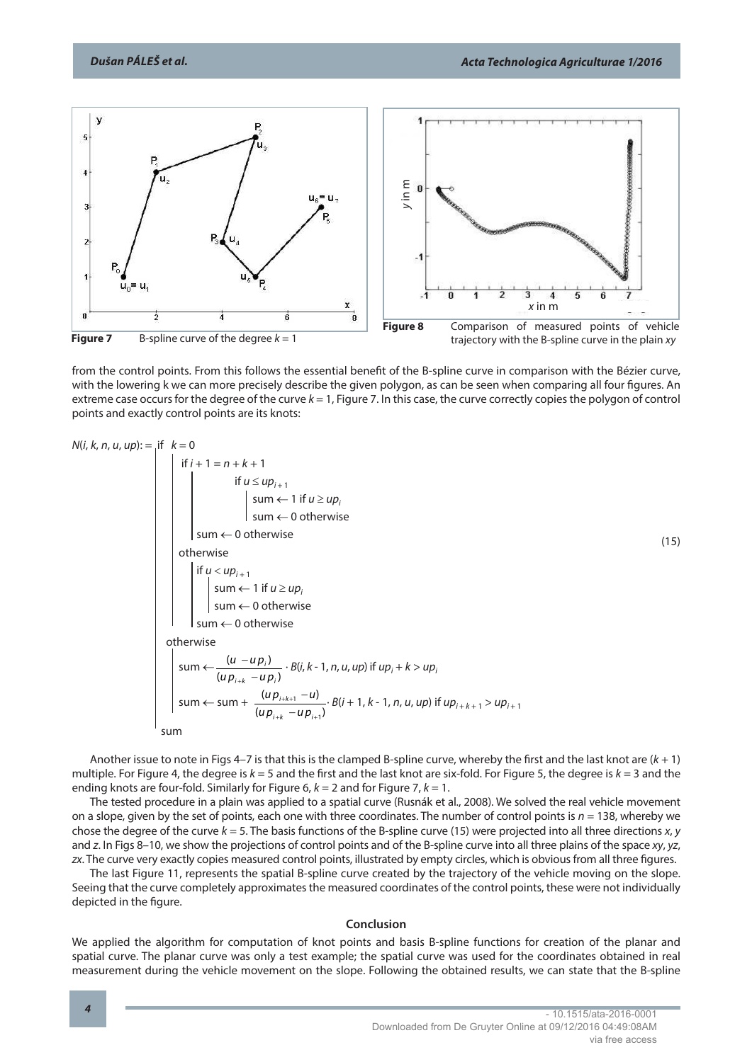

from the control points. From this follows the essential benefit of the B-spline curve in comparison with the Bézier curve, with the lowering k we can more precisely describe the given polygon, as can be seen when comparing all four figures. An extreme case occurs for the degree of the curve  $k = 1$ , Figure 7. In this case, the curve correctly copies the polygon of control points and exactly control points are its knots:

$$
N(i, k, n, u, up) := \begin{vmatrix} \text{if } k = 0 \\ \text{if } i + 1 = n + k + 1 \\ \text{if } u \le up_{i+1} \\ \text{sum } \leftarrow 1 \text{ if } u \ge up_i \\ \text{sum } \leftarrow 0 \text{ otherwise} \end{vmatrix}
$$
\n
$$
\begin{vmatrix} \text{sum } \leftarrow 0 \text{ otherwise} \\ \text{otherwise} \end{vmatrix}
$$
\n
$$
\begin{vmatrix} \text{if } u < up_{i+1} \\ \text{sum } \leftarrow 1 \text{ if } u \ge up_i \\ \text{sum } \leftarrow 0 \text{ otherwise} \end{vmatrix}
$$
\n
$$
\begin{vmatrix} \text{sum } \leftarrow 0 \text{ otherwise} \\ \text{sum } \leftarrow 0 \text{ otherwise} \end{vmatrix}
$$
\n
$$
\begin{vmatrix} \text{sum } \leftarrow \frac{(u - up_i)}{(up_{i+k-1} - up_i)} \cdot B(i, k - 1, n, u, up) \text{ if } up_i + k > up_i \\ \text{sum } \leftarrow \frac{(up_{i+k-1} - u)}{(up_{i+k-1} - up_{i+1})} \cdot B(i + 1, k - 1, n, u, up) \text{ if } up_{i+k+1} > up_{i+1} \end{vmatrix}
$$
\n
$$
\text{sum}
$$

Another issue to note in Figs 4–7 is that this is the clamped B-spline curve, whereby the first and the last knot are  $(k + 1)$ multiple. For Figure 4, the degree is  $k = 5$  and the first and the last knot are six-fold. For Figure 5, the degree is  $k = 3$  and the ending knots are four-fold. Similarly for Figure 6,  $k = 2$  and for Figure 7,  $k = 1$ .

The tested procedure in a plain was applied to a spatial curve (Rusnák et al., 2008). We solved the real vehicle movement on a slope, given by the set of points, each one with three coordinates. The number of control points is  $n = 138$ , whereby we chose the degree of the curve  $k = 5$ . The basis functions of the B-spline curve (15) were projected into all three directions x, y and z. In Figs 8–10, we show the projections of control points and of the B-spline curve into all three plains of the space xy, yz, zx. The curve very exactly copies measured control points, illustrated by empty circles, which is obvious from all three figures.

The last Figure 11, represents the spatial B-spline curve created by the trajectory of the vehicle moving on the slope. Seeing that the curve completely approximates the measured coordinates of the control points, these were not individually depicted in the figure.

#### **Conclusion**

We applied the algorithm for computation of knot points and basis B-spline functions for creation of the planar and spatial curve. The planar curve was only a test example; the spatial curve was used for the coordinates obtained in real measurement during the vehicle movement on the slope. Following the obtained results, we can state that the B-spline